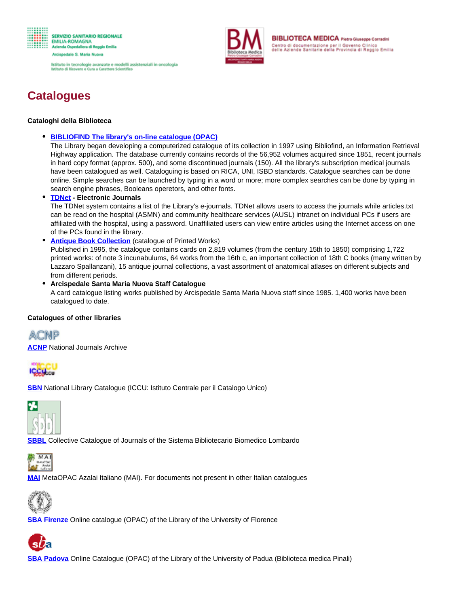

Istituto in tecnologie avanzate e modelli assistenziali in oncologia<br>Istituto di Ricovero e Cura a Carattere Scientifico



**BIBLIOTECA MEDICA Pletro Giuseppe Corradini** Centro di documentazione per il Governo Clinico<br>delle Aziende Sanitarie della Provincia di Reggio Emilia

## **Catalogues**

## **Cataloghi della Biblioteca**

**[BIBLIOFIND The library's on-line catalogue \(OPAC\)](http://www.asmn.re.it/bfeasy/)**

The Library began developing a computerized catalogue of its collection in 1997 using Bibliofind, an Information Retrieval Highway application. The database currently contains records of the 56,952 volumes acquired since 1851, recent journals in hard copy format (approx. 500), and some discontinued journals (150). All the library's subscription medical journals have been catalogued as well. Cataloguing is based on RICA, UNI, ISBD standards. Catalogue searches can be done online. Simple searches can be launched by typing in a word or more; more complex searches can be done by typing in search engine phrases, Booleans operetors, and other fonts.

**TDNet - Electronic Journals** 

The TDNet system contains a list of the Library's e-journals. TDNet allows users to access the journals while articles.txt can be read on the hospital (ASMN) and community healthcare services (AUSL) intranet on individual PCs if users are affiliated with the hospital, using a password. Unaffiliated users can view entire articles using the Internet access on one of the PCs found in the library.

**Antique Book Collection** (catalogue of Printed Works)

Published in 1995, the catalogue contains cards on 2,819 volumes (from the century 15th to 1850) comprising 1,722 printed works: of note 3 incunabulums, 64 works from the 16th c, an important collection of 18th C books (many written by Lazzaro Spallanzani), 15 antique journal collections, a vast assortment of anatomical atlases on different subjects and from different periods.

**Arcispedale Santa Maria Nuova Staff Catalogue** A card catalogue listing works published by Arcispedale Santa Maria Nuova staff since 1985. 1,400 works have been catalogued to date.

## **Catalogues of other libraries**

ACNP

**[ACNP](http://acnp.cib.unibo.it/cgi-ser/start/it/cnr/fp.html)** National Journals Archive



**[SBN](http://opac.sbn.it/cgi-bin/IccuForm.pl?form=WebFrame)** National Library Catalogue (ICCU: Istituto Centrale per il Catalogo Unico)



**[SBBL](http://lh.cilea.it/Ccube/findInCatalogue.jsp?dd=false)** Collective Catalogue of Journals of the Sistema Bibliotecario Biomedico Lombardo



**[MAI](http://azalai.cilea.it/mai/)** MetaOPAC Azalai Italiano (MAI). For documents not present in other Italian catalogues



**SBA [Firenze](http://opac.unifi.it/F)** Online catalogue (OPAC) of the Library of the University of Florence



**[SBA Padova](http://catalogo.unipd.it/F/?func=find-b-0)** Online Catalogue (OPAC) of the Library of the University of Padua (Biblioteca medica Pinali)